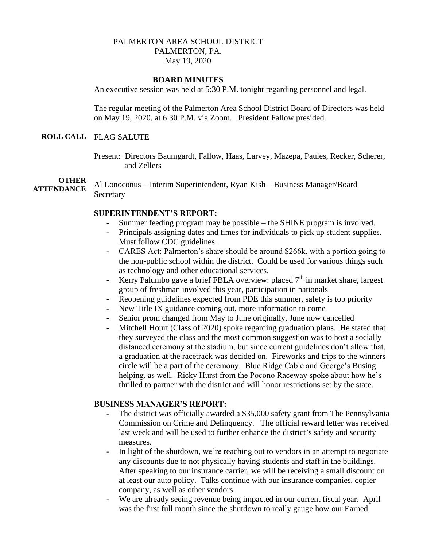## PALMERTON AREA SCHOOL DISTRICT PALMERTON, PA. May 19, 2020

## **BOARD MINUTES**

An executive session was held at 5:30 P.M. tonight regarding personnel and legal.

The regular meeting of the Palmerton Area School District Board of Directors was held on May 19, 2020, at 6:30 P.M. via Zoom. President Fallow presided.

### **ROLL CALL** FLAG SALUTE

Present: Directors Baumgardt, Fallow, Haas, Larvey, Mazepa, Paules, Recker, Scherer, and Zellers

**OTHER ATTENDANCE** Al Lonoconus – Interim Superintendent, Ryan Kish – Business Manager/Board **Secretary** 

## **SUPERINTENDENT'S REPORT:**

- Summer feeding program may be possible the SHINE program is involved.
- **-** Principals assigning dates and times for individuals to pick up student supplies. Must follow CDC guidelines.
- **-** CARES Act: Palmerton's share should be around \$266k, with a portion going to the non-public school within the district. Could be used for various things such as technology and other educational services.
- Kerry Palumbo gave a brief FBLA overview: placed 7<sup>th</sup> in market share, largest group of freshman involved this year, participation in nationals
- **-** Reopening guidelines expected from PDE this summer, safety is top priority
- **-** New Title IX guidance coming out, more information to come
- **-** Senior prom changed from May to June originally, June now cancelled
- **-** Mitchell Hourt (Class of 2020) spoke regarding graduation plans. He stated that they surveyed the class and the most common suggestion was to host a socially distanced ceremony at the stadium, but since current guidelines don't allow that, a graduation at the racetrack was decided on. Fireworks and trips to the winners circle will be a part of the ceremony. Blue Ridge Cable and George's Busing helping, as well. Ricky Hurst from the Pocono Raceway spoke about how he's thrilled to partner with the district and will honor restrictions set by the state.

## **BUSINESS MANAGER'S REPORT:**

- **-** The district was officially awarded a \$35,000 safety grant from The Pennsylvania Commission on Crime and Delinquency. The official reward letter was received last week and will be used to further enhance the district's safety and security measures.
- **-** In light of the shutdown, we're reaching out to vendors in an attempt to negotiate any discounts due to not physically having students and staff in the buildings. After speaking to our insurance carrier, we will be receiving a small discount on at least our auto policy. Talks continue with our insurance companies, copier company, as well as other vendors.
- We are already seeing revenue being impacted in our current fiscal year. April was the first full month since the shutdown to really gauge how our Earned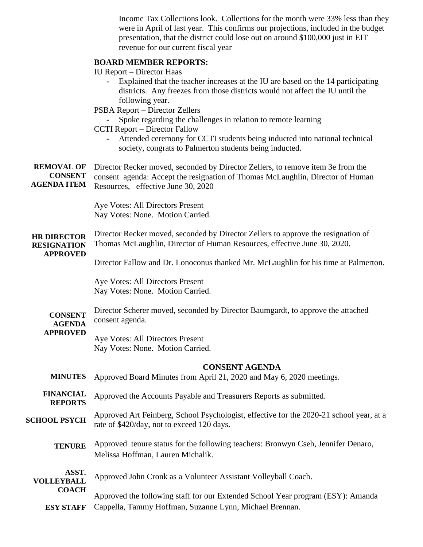Income Tax Collections look. Collections for the month were 33% less than they were in April of last year. This confirms our projections, included in the budget presentation, that the district could lose out on around \$100,000 just in EIT revenue for our current fiscal year

## **BOARD MEMBER REPORTS:**

IU Report – Director Haas

- **-** Explained that the teacher increases at the IU are based on the 14 participating districts. Any freezes from those districts would not affect the IU until the following year.
- PSBA Report Director Zellers
	- **-** Spoke regarding the challenges in relation to remote learning
- CCTI Report Director Fallow
	- **-** Attended ceremony for CCTI students being inducted into national technical society, congrats to Palmerton students being inducted.

**REMOVAL OF CONSENT AGENDA ITEM** Director Recker moved, seconded by Director Zellers, to remove item 3e from the consent agenda: Accept the resignation of Thomas McLaughlin, Director of Human Resources, effective June 30, 2020

> Aye Votes: All Directors Present Nay Votes: None. Motion Carried.

**HR DIRECTOR RESIGNATION**  Director Recker moved, seconded by Director Zellers to approve the resignation of Thomas McLaughlin, Director of Human Resources, effective June 30, 2020.

# **APPROVED**

Director Fallow and Dr. Lonoconus thanked Mr. McLaughlin for his time at Palmerton.

Aye Votes: All Directors Present Nay Votes: None. Motion Carried.

**CONSENT AGENDA**  Director Scherer moved, seconded by Director Baumgardt, to approve the attached consent agenda.

# **APPROVED**

 $\overline{A}$ 

Aye Votes: All Directors Present Nay Votes: None. Motion Carried.

### **CONSENT AGENDA**

- **MINUTES** Approved Board Minutes from April 21, 2020 and May 6, 2020 meetings.
- **FINANCIAL REPORTS** Approved the Accounts Payable and Treasurers Reports as submitted.

#### **SCHOOL PSYCH** Approved Art Feinberg, School Psychologist, effective for the 2020-21 school year, at a rate of \$420/day, not to exceed 120 days.

**TENURE** Approved tenure status for the following teachers: Bronwyn Cseh, Jennifer Denaro, Melissa Hoffman, Lauren Michalik.

| ASSI.             | Approved John Cronk as a Volunteer Assistant Volleyball Coach. |  |
|-------------------|----------------------------------------------------------------|--|
| <b>VOLLEYBALL</b> |                                                                |  |

**COACH ESY STAFF** Approved the following staff for our Extended School Year program (ESY): Amanda Cappella, Tammy Hoffman, Suzanne Lynn, Michael Brennan.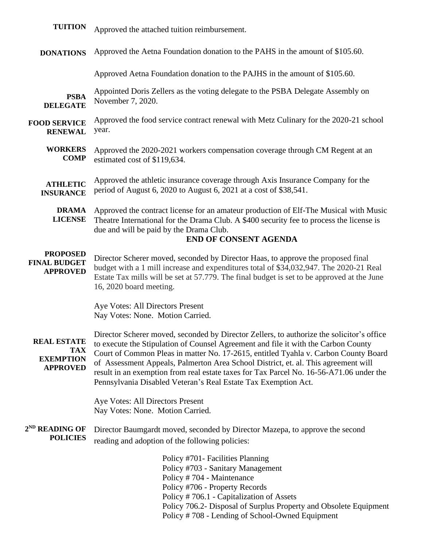| <b>TUITION</b>                                                          | Approved the attached tuition reimbursement.                                                                                                                                                                                                                                                                                                                                                                                                                                                                              |
|-------------------------------------------------------------------------|---------------------------------------------------------------------------------------------------------------------------------------------------------------------------------------------------------------------------------------------------------------------------------------------------------------------------------------------------------------------------------------------------------------------------------------------------------------------------------------------------------------------------|
| <b>DONATIONS</b>                                                        | Approved the Aetna Foundation donation to the PAHS in the amount of \$105.60.                                                                                                                                                                                                                                                                                                                                                                                                                                             |
|                                                                         | Approved Aetna Foundation donation to the PAJHS in the amount of \$105.60.                                                                                                                                                                                                                                                                                                                                                                                                                                                |
| <b>PSBA</b><br><b>DELEGATE</b>                                          | Appointed Doris Zellers as the voting delegate to the PSBA Delegate Assembly on<br>November 7, 2020.                                                                                                                                                                                                                                                                                                                                                                                                                      |
| <b>FOOD SERVICE</b><br><b>RENEWAL</b>                                   | Approved the food service contract renewal with Metz Culinary for the 2020-21 school<br>year.                                                                                                                                                                                                                                                                                                                                                                                                                             |
| <b>WORKERS</b><br><b>COMP</b>                                           | Approved the 2020-2021 workers compensation coverage through CM Regent at an<br>estimated cost of \$119,634.                                                                                                                                                                                                                                                                                                                                                                                                              |
| <b>ATHLETIC</b><br><b>INSURANCE</b>                                     | Approved the athletic insurance coverage through Axis Insurance Company for the<br>period of August 6, 2020 to August 6, 2021 at a cost of \$38,541.                                                                                                                                                                                                                                                                                                                                                                      |
| <b>DRAMA</b><br><b>LICENSE</b>                                          | Approved the contract license for an amateur production of Elf-The Musical with Music<br>Theatre International for the Drama Club. A \$400 security fee to process the license is<br>due and will be paid by the Drama Club.<br><b>END OF CONSENT AGENDA</b>                                                                                                                                                                                                                                                              |
| <b>PROPOSED</b><br><b>FINAL BUDGET</b><br><b>APPROVED</b>               | Director Scherer moved, seconded by Director Haas, to approve the proposed final<br>budget with a 1 mill increase and expenditures total of \$34,032,947. The 2020-21 Real<br>Estate Tax mills will be set at 57.779. The final budget is set to be approved at the June<br>16, 2020 board meeting.                                                                                                                                                                                                                       |
|                                                                         | Aye Votes: All Directors Present<br>Nay Votes: None. Motion Carried.                                                                                                                                                                                                                                                                                                                                                                                                                                                      |
| <b>REAL ESTATE</b><br><b>TAX</b><br><b>EXEMPTION</b><br><b>APPROVED</b> | Director Scherer moved, seconded by Director Zellers, to authorize the solicitor's office<br>to execute the Stipulation of Counsel Agreement and file it with the Carbon County<br>Court of Common Pleas in matter No. 17-2615, entitled Tyahla v. Carbon County Board<br>of Assessment Appeals, Palmerton Area School District, et. al. This agreement will<br>result in an exemption from real estate taxes for Tax Parcel No. 16-56-A71.06 under the<br>Pennsylvania Disabled Veteran's Real Estate Tax Exemption Act. |
|                                                                         | Aye Votes: All Directors Present<br>Nay Votes: None. Motion Carried.                                                                                                                                                                                                                                                                                                                                                                                                                                                      |
| 2 <sup>ND</sup> READING OF<br><b>POLICIES</b>                           | Director Baumgardt moved, seconded by Director Mazepa, to approve the second<br>reading and adoption of the following policies:                                                                                                                                                                                                                                                                                                                                                                                           |
|                                                                         | Policy #701- Facilities Planning<br>Policy #703 - Sanitary Management<br>Policy #704 - Maintenance<br>Policy #706 - Property Records<br>Policy #706.1 - Capitalization of Assets<br>Policy 706.2- Disposal of Surplus Property and Obsolete Equipment<br>Policy #708 - Lending of School-Owned Equipment                                                                                                                                                                                                                  |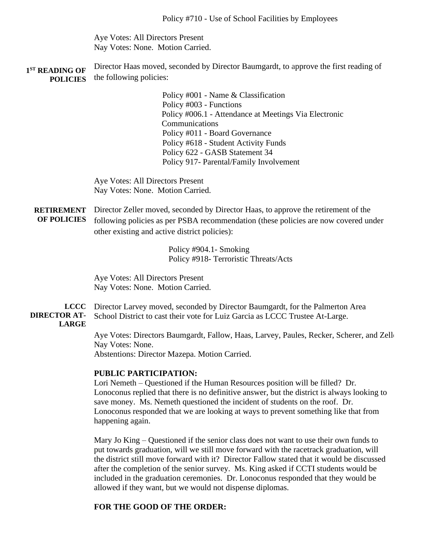Aye Votes: All Directors Present Nay Votes: None. Motion Carried.

**1 ST READING OF POLICIES** Director Haas moved, seconded by Director Baumgardt, to approve the first reading of the following policies:

> Policy #001 - Name & Classification Policy #003 - Functions Policy #006.1 - Attendance at Meetings Via Electronic **Communications** Policy #011 - Board Governance Policy #618 - Student Activity Funds Policy 622 - GASB Statement 34 Policy 917- Parental/Family Involvement

Aye Votes: All Directors Present Nay Votes: None. Motion Carried.

**RETIREMENT**  Director Zeller moved, seconded by Director Haas, to approve the retirement of the **OF POLICIES** following policies as per PSBA recommendation (these policies are now covered under other existing and active district policies):

> Policy #904.1- Smoking Policy #918- Terroristic Threats/Acts

Aye Votes: All Directors Present Nay Votes: None. Motion Carried.

**LCCC DIRECTOR AT-LARGE** Director Larvey moved, seconded by Director Baumgardt, for the Palmerton Area School District to cast their vote for Luiz Garcia as LCCC Trustee At-Large.

> Aye Votes: Directors Baumgardt, Fallow, Haas, Larvey, Paules, Recker, Scherer, and Zellers Nay Votes: None. Abstentions: Director Mazepa. Motion Carried.

## **PUBLIC PARTICIPATION:**

Lori Nemeth – Questioned if the Human Resources position will be filled? Dr. Lonoconus replied that there is no definitive answer, but the district is always looking to save money. Ms. Nemeth questioned the incident of students on the roof. Dr. Lonoconus responded that we are looking at ways to prevent something like that from happening again.

Mary Jo King – Questioned if the senior class does not want to use their own funds to put towards graduation, will we still move forward with the racetrack graduation, will the district still move forward with it? Director Fallow stated that it would be discussed after the completion of the senior survey. Ms. King asked if CCTI students would be included in the graduation ceremonies. Dr. Lonoconus responded that they would be allowed if they want, but we would not dispense diplomas.

## **FOR THE GOOD OF THE ORDER:**